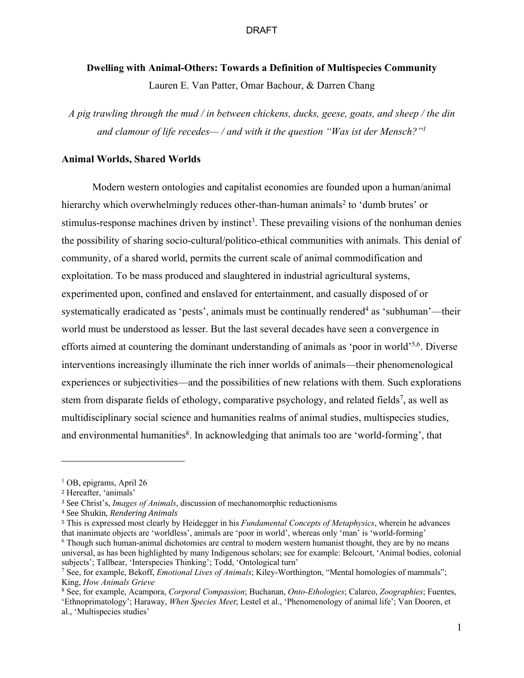# **Dwelling with Animal-Others: Towards a Definition of Multispecies Community**

Lauren E. Van Patter, Omar Bachour, & Darren Chang

*A pig trawling through the mud / in between chickens, ducks, geese, goats, and sheep / the din and clamour of life recedes— / and with it the question "Was ist der Mensch?"1*

#### **Animal Worlds, Shared Worlds**

Modern western ontologies and capitalist economies are founded upon a human/animal hierarchy which overwhelmingly reduces other-than-human animals<sup>2</sup> to 'dumb brutes' or stimulus-response machines driven by instinct<sup>3</sup>. These prevailing visions of the nonhuman denies the possibility of sharing socio-cultural/politico-ethical communities with animals. This denial of community, of a shared world, permits the current scale of animal commodification and exploitation. To be mass produced and slaughtered in industrial agricultural systems, experimented upon, confined and enslaved for entertainment, and casually disposed of or systematically eradicated as 'pests', animals must be continually rendered<sup>4</sup> as 'subhuman'—their world must be understood as lesser. But the last several decades have seen a convergence in efforts aimed at countering the dominant understanding of animals as 'poor in world'5,6. Diverse interventions increasingly illuminate the rich inner worlds of animals—their phenomenological experiences or subjectivities—and the possibilities of new relations with them. Such explorations stem from disparate fields of ethology, comparative psychology, and related fields<sup>7</sup>, as well as multidisciplinary social science and humanities realms of animal studies, multispecies studies, and environmental humanities<sup>8</sup>. In acknowledging that animals too are 'world-forming', that

 $1$  OB, epigrams, April 26

<sup>2</sup> Hereafter, 'animals'

<sup>&</sup>lt;sup>3</sup> See Christ's, *Images of Animals*, discussion of mechanomorphic reductionisms

<sup>&</sup>lt;sup>4</sup> See Shukin, Rendering Animals

<sup>5</sup> This is expressed most clearly by Heidegger in his *Fundamental Concepts of Metaphysics*, wherein he advances that inanimate objects are 'worldless', animals are 'poor in world', whereas only 'man' is 'world-forming' <sup>6</sup> Though such human-animal dichotomies are central to modern western humanist thought, they are by no means

universal, as has been highlighted by many Indigenous scholars; see for example: Belcourt, 'Animal bodies, colonial subjects'; Tallbear, 'Interspecies Thinking'; Todd, 'Ontological turn'

<sup>7</sup> See, for example, Bekoff, *Emotional Lives of Animals*; Kiley-Worthington, "Mental homologies of mammals"; King, *How Animals Grieve*

<sup>8</sup> See, for example, Acampora, *Corporal Compassion*; Buchanan, *Onto-Ethologies*; Calarco, *Zoographies*; Fuentes, 'Ethnoprimatology'; Haraway, *When Species Meet*; Lestel et al., 'Phenomenology of animal life'; Van Dooren, et al., 'Multispecies studies'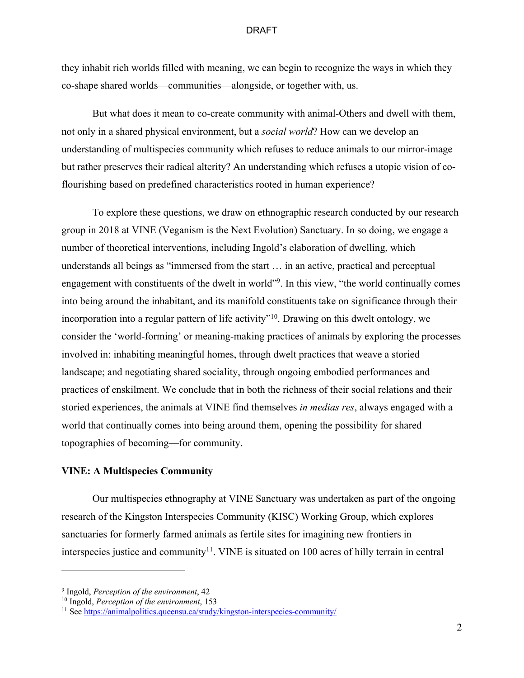they inhabit rich worlds filled with meaning, we can begin to recognize the ways in which they co-shape shared worlds—communities—alongside, or together with, us.

But what does it mean to co-create community with animal-Others and dwell with them, not only in a shared physical environment, but a *social world*? How can we develop an understanding of multispecies community which refuses to reduce animals to our mirror-image but rather preserves their radical alterity? An understanding which refuses a utopic vision of coflourishing based on predefined characteristics rooted in human experience?

To explore these questions, we draw on ethnographic research conducted by our research group in 2018 at VINE (Veganism is the Next Evolution) Sanctuary. In so doing, we engage a number of theoretical interventions, including Ingold's elaboration of dwelling, which understands all beings as "immersed from the start … in an active, practical and perceptual engagement with constituents of the dwelt in world"<sup>9</sup>. In this view, "the world continually comes into being around the inhabitant, and its manifold constituents take on significance through their incorporation into a regular pattern of life activity"<sup>10</sup>. Drawing on this dwelt ontology, we consider the 'world-forming' or meaning-making practices of animals by exploring the processes involved in: inhabiting meaningful homes, through dwelt practices that weave a storied landscape; and negotiating shared sociality, through ongoing embodied performances and practices of enskilment. We conclude that in both the richness of their social relations and their storied experiences, the animals at VINE find themselves *in medias res*, always engaged with a world that continually comes into being around them, opening the possibility for shared topographies of becoming—for community.

# **VINE: A Multispecies Community**

Our multispecies ethnography at VINE Sanctuary was undertaken as part of the ongoing research of the Kingston Interspecies Community (KISC) Working Group, which explores sanctuaries for formerly farmed animals as fertile sites for imagining new frontiers in interspecies justice and community<sup>11</sup>. VINE is situated on 100 acres of hilly terrain in central

<sup>9</sup> Ingold, *Perception of the environment*, 42

<sup>10</sup> Ingold, *Perception of the environment*, 153

<sup>11</sup> See https://animalpolitics.queensu.ca/study/kingston-interspecies-community/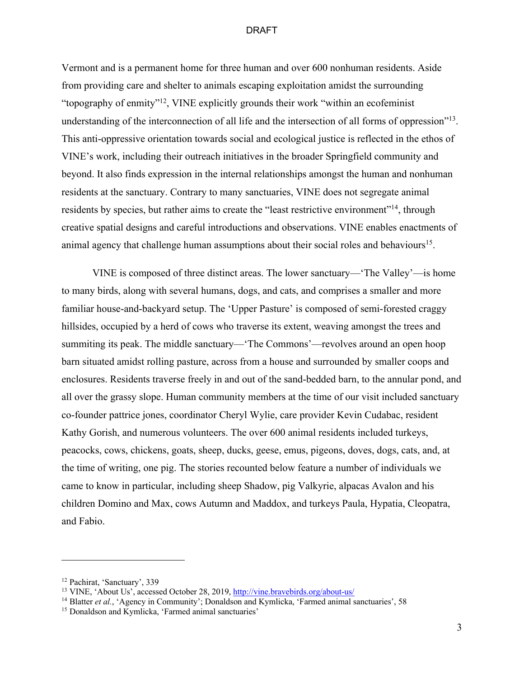Vermont and is a permanent home for three human and over 600 nonhuman residents. Aside from providing care and shelter to animals escaping exploitation amidst the surrounding "topography of enmity"12, VINE explicitly grounds their work "within an ecofeminist understanding of the interconnection of all life and the intersection of all forms of oppression"<sup>13</sup>. This anti-oppressive orientation towards social and ecological justice is reflected in the ethos of VINE's work, including their outreach initiatives in the broader Springfield community and beyond. It also finds expression in the internal relationships amongst the human and nonhuman residents at the sanctuary. Contrary to many sanctuaries, VINE does not segregate animal residents by species, but rather aims to create the "least restrictive environment"<sup>14</sup>, through creative spatial designs and careful introductions and observations. VINE enables enactments of animal agency that challenge human assumptions about their social roles and behaviours<sup>15</sup>.

VINE is composed of three distinct areas. The lower sanctuary—'The Valley'—is home to many birds, along with several humans, dogs, and cats, and comprises a smaller and more familiar house-and-backyard setup. The 'Upper Pasture' is composed of semi-forested craggy hillsides, occupied by a herd of cows who traverse its extent, weaving amongst the trees and summiting its peak. The middle sanctuary—'The Commons'—revolves around an open hoop barn situated amidst rolling pasture, across from a house and surrounded by smaller coops and enclosures. Residents traverse freely in and out of the sand-bedded barn, to the annular pond, and all over the grassy slope. Human community members at the time of our visit included sanctuary co-founder pattrice jones, coordinator Cheryl Wylie, care provider Kevin Cudabac, resident Kathy Gorish, and numerous volunteers. The over 600 animal residents included turkeys, peacocks, cows, chickens, goats, sheep, ducks, geese, emus, pigeons, doves, dogs, cats, and, at the time of writing, one pig. The stories recounted below feature a number of individuals we came to know in particular, including sheep Shadow, pig Valkyrie, alpacas Avalon and his children Domino and Max, cows Autumn and Maddox, and turkeys Paula, Hypatia, Cleopatra, and Fabio.

<sup>&</sup>lt;sup>12</sup> Pachirat, 'Sanctuary', 339

<sup>13</sup> VINE, 'About Us', accessed October 28, 2019, http://vine.bravebirds.org/about-us/

<sup>&</sup>lt;sup>14</sup> Blatter et al., 'Agency in Community'; Donaldson and Kymlicka, 'Farmed animal sanctuaries', 58

<sup>&</sup>lt;sup>15</sup> Donaldson and Kymlicka, 'Farmed animal sanctuaries'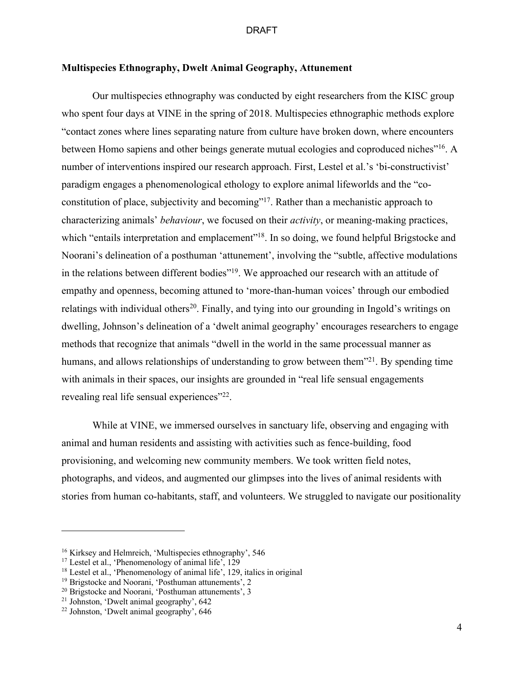# **Multispecies Ethnography, Dwelt Animal Geography, Attunement**

Our multispecies ethnography was conducted by eight researchers from the KISC group who spent four days at VINE in the spring of 2018. Multispecies ethnographic methods explore "contact zones where lines separating nature from culture have broken down, where encounters between Homo sapiens and other beings generate mutual ecologies and coproduced niches"<sup>16</sup>. A number of interventions inspired our research approach. First, Lestel et al.'s 'bi-constructivist' paradigm engages a phenomenological ethology to explore animal lifeworlds and the "coconstitution of place, subjectivity and becoming"<sup>17</sup>. Rather than a mechanistic approach to characterizing animals' *behaviour*, we focused on their *activity*, or meaning-making practices, which "entails interpretation and emplacement"<sup>18</sup>. In so doing, we found helpful Brigstocke and Noorani's delineation of a posthuman 'attunement', involving the "subtle, affective modulations in the relations between different bodies"<sup>19</sup>. We approached our research with an attitude of empathy and openness, becoming attuned to 'more-than-human voices' through our embodied relatings with individual others<sup>20</sup>. Finally, and tying into our grounding in Ingold's writings on dwelling, Johnson's delineation of a 'dwelt animal geography' encourages researchers to engage methods that recognize that animals "dwell in the world in the same processual manner as humans, and allows relationships of understanding to grow between them<sup>321</sup>. By spending time with animals in their spaces, our insights are grounded in "real life sensual engagements" revealing real life sensual experiences"<sup>22</sup>.

While at VINE, we immersed ourselves in sanctuary life, observing and engaging with animal and human residents and assisting with activities such as fence-building, food provisioning, and welcoming new community members. We took written field notes, photographs, and videos, and augmented our glimpses into the lives of animal residents with stories from human co-habitants, staff, and volunteers. We struggled to navigate our positionality

<sup>&</sup>lt;sup>16</sup> Kirksey and Helmreich, 'Multispecies ethnography', 546

<sup>&</sup>lt;sup>17</sup> Lestel et al., 'Phenomenology of animal life',  $129$ 

<sup>&</sup>lt;sup>18</sup> Lestel et al., 'Phenomenology of animal life', 129, italics in original

<sup>19</sup> Brigstocke and Noorani, 'Posthuman attunements', 2

<sup>&</sup>lt;sup>20</sup> Brigstocke and Noorani, 'Posthuman attunements', 3

<sup>21</sup> Johnston, 'Dwelt animal geography', 642

<sup>22</sup> Johnston, 'Dwelt animal geography', 646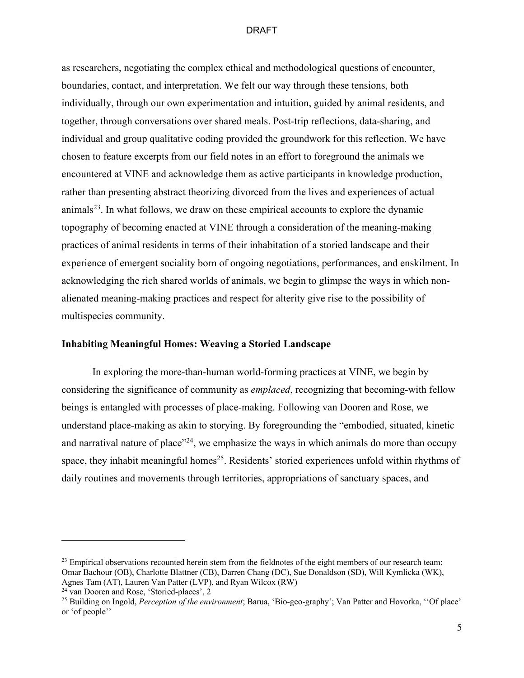as researchers, negotiating the complex ethical and methodological questions of encounter, boundaries, contact, and interpretation. We felt our way through these tensions, both individually, through our own experimentation and intuition, guided by animal residents, and together, through conversations over shared meals. Post-trip reflections, data-sharing, and individual and group qualitative coding provided the groundwork for this reflection. We have chosen to feature excerpts from our field notes in an effort to foreground the animals we encountered at VINE and acknowledge them as active participants in knowledge production, rather than presenting abstract theorizing divorced from the lives and experiences of actual animals<sup>23</sup>. In what follows, we draw on these empirical accounts to explore the dynamic topography of becoming enacted at VINE through a consideration of the meaning-making practices of animal residents in terms of their inhabitation of a storied landscape and their experience of emergent sociality born of ongoing negotiations, performances, and enskilment. In acknowledging the rich shared worlds of animals, we begin to glimpse the ways in which nonalienated meaning-making practices and respect for alterity give rise to the possibility of multispecies community.

# **Inhabiting Meaningful Homes: Weaving a Storied Landscape**

In exploring the more-than-human world-forming practices at VINE, we begin by considering the significance of community as *emplaced*, recognizing that becoming-with fellow beings is entangled with processes of place-making. Following van Dooren and Rose, we understand place-making as akin to storying. By foregrounding the "embodied, situated, kinetic and narratival nature of place"<sup>24</sup>, we emphasize the ways in which animals do more than occupy space, they inhabit meaningful homes<sup>25</sup>. Residents' storied experiences unfold within rhythms of daily routines and movements through territories, appropriations of sanctuary spaces, and

 $^{23}$  Empirical observations recounted herein stem from the fieldnotes of the eight members of our research team: Omar Bachour (OB), Charlotte Blattner (CB), Darren Chang (DC), Sue Donaldson (SD), Will Kymlicka (WK), Agnes Tam (AT), Lauren Van Patter (LVP), and Ryan Wilcox (RW) 24 van Dooren and Rose, 'Storied-places', 2

<sup>25</sup> Building on Ingold, *Perception of the environment*; Barua, 'Bio-geo-graphy'; Van Patter and Hovorka, ''Of place' or 'of people''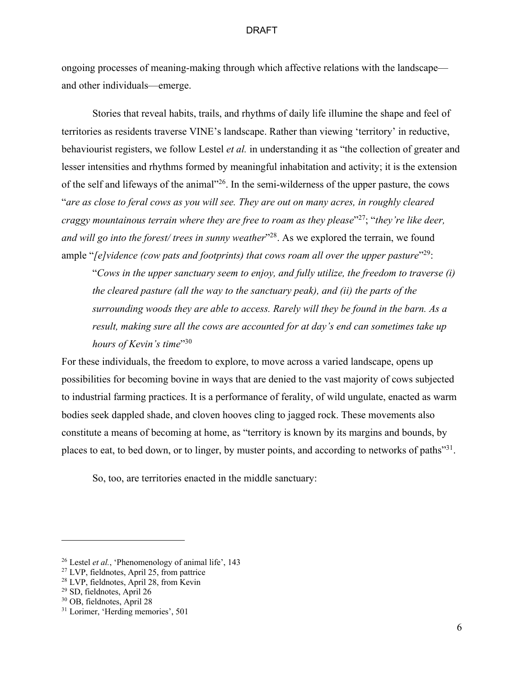ongoing processes of meaning-making through which affective relations with the landscape and other individuals—emerge.

 Stories that reveal habits, trails, and rhythms of daily life illumine the shape and feel of territories as residents traverse VINE's landscape. Rather than viewing 'territory' in reductive, behaviourist registers, we follow Lestel *et al.* in understanding it as "the collection of greater and lesser intensities and rhythms formed by meaningful inhabitation and activity; it is the extension of the self and lifeways of the animal"26. In the semi-wilderness of the upper pasture, the cows "*are as close to feral cows as you will see. They are out on many acres, in roughly cleared craggy mountainous terrain where they are free to roam as they please*"27; "*they're like deer, and will go into the forest/ trees in sunny weather*<sup>228</sup>. As we explored the terrain, we found ample "*[e]vidence (cow pats and footprints) that cows roam all over the upper pasture*"<sup>29</sup>:

"*Cows in the upper sanctuary seem to enjoy, and fully utilize, the freedom to traverse (i) the cleared pasture (all the way to the sanctuary peak), and (ii) the parts of the surrounding woods they are able to access. Rarely will they be found in the barn. As a result, making sure all the cows are accounted for at day's end can sometimes take up hours of Kevin's time*"30

For these individuals, the freedom to explore, to move across a varied landscape, opens up possibilities for becoming bovine in ways that are denied to the vast majority of cows subjected to industrial farming practices. It is a performance of ferality, of wild ungulate, enacted as warm bodies seek dappled shade, and cloven hooves cling to jagged rock. These movements also constitute a means of becoming at home, as "territory is known by its margins and bounds, by places to eat, to bed down, or to linger, by muster points, and according to networks of paths"<sup>31</sup>.

So, too, are territories enacted in the middle sanctuary:

<sup>26</sup> Lestel *et al.*, 'Phenomenology of animal life', 143

<sup>&</sup>lt;sup>27</sup> LVP, fieldnotes, April 25, from pattrice

<sup>28</sup> LVP, fieldnotes, April 28, from Kevin

<sup>29</sup> SD, fieldnotes, April 26

<sup>30</sup> OB, fieldnotes, April 28

<sup>&</sup>lt;sup>31</sup> Lorimer, 'Herding memories', 501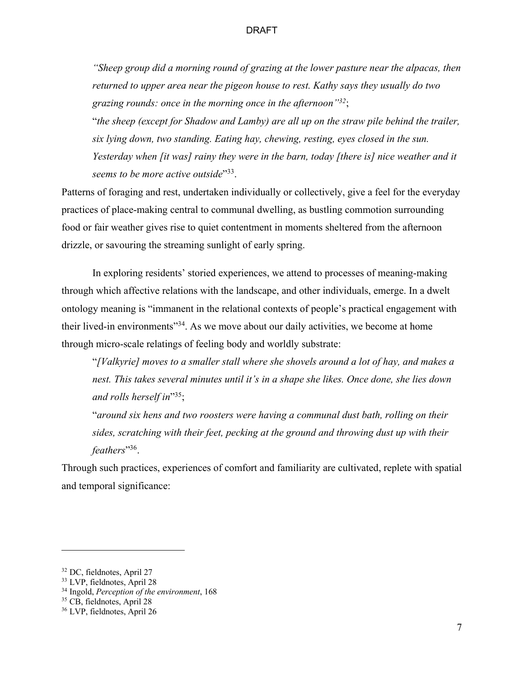*"Sheep group did a morning round of grazing at the lower pasture near the alpacas, then returned to upper area near the pigeon house to rest. Kathy says they usually do two grazing rounds: once in the morning once in the afternoon"32*;

"*the sheep (except for Shadow and Lamby) are all up on the straw pile behind the trailer, six lying down, two standing. Eating hay, chewing, resting, eyes closed in the sun. Yesterday when [it was] rainy they were in the barn, today [there is] nice weather and it seems to be more active outside*"<sup>33</sup>.

Patterns of foraging and rest, undertaken individually or collectively, give a feel for the everyday practices of place-making central to communal dwelling, as bustling commotion surrounding food or fair weather gives rise to quiet contentment in moments sheltered from the afternoon drizzle, or savouring the streaming sunlight of early spring.

 In exploring residents' storied experiences, we attend to processes of meaning-making through which affective relations with the landscape, and other individuals, emerge. In a dwelt ontology meaning is "immanent in the relational contexts of people's practical engagement with their lived-in environments<sup>"34</sup>. As we move about our daily activities, we become at home through micro-scale relatings of feeling body and worldly substrate:

"*[Valkyrie] moves to a smaller stall where she shovels around a lot of hay, and makes a nest. This takes several minutes until it's in a shape she likes. Once done, she lies down and rolls herself in*"35;

"*around six hens and two roosters were having a communal dust bath, rolling on their sides, scratching with their feet, pecking at the ground and throwing dust up with their feathers*"36.

Through such practices, experiences of comfort and familiarity are cultivated, replete with spatial and temporal significance:

<sup>32</sup> DC, fieldnotes, April 27

<sup>33</sup> LVP, fieldnotes, April 28

<sup>34</sup> Ingold, *Perception of the environment*, 168

<sup>35</sup> CB, fieldnotes, April 28

<sup>36</sup> LVP, fieldnotes, April 26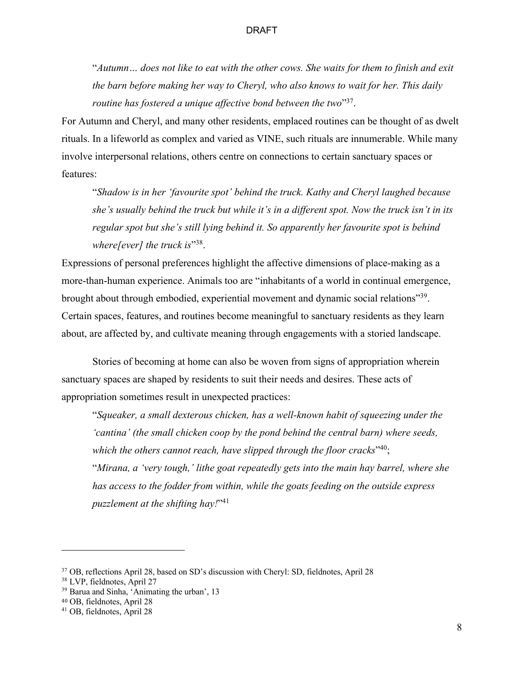"*Autumn… does not like to eat with the other cows. She waits for them to finish and exit the barn before making her way to Cheryl, who also knows to wait for her. This daily routine has fostered a unique affective bond between the two*"37.

For Autumn and Cheryl, and many other residents, emplaced routines can be thought of as dwelt rituals. In a lifeworld as complex and varied as VINE, such rituals are innumerable. While many involve interpersonal relations, others centre on connections to certain sanctuary spaces or features:

"*Shadow is in her 'favourite spot' behind the truck. Kathy and Cheryl laughed because she's usually behind the truck but while it's in a different spot. Now the truck isn't in its regular spot but she's still lying behind it. So apparently her favourite spot is behind where[ever] the truck is*"<sup>38</sup>.

Expressions of personal preferences highlight the affective dimensions of place-making as a more-than-human experience. Animals too are "inhabitants of a world in continual emergence, brought about through embodied, experiential movement and dynamic social relations"39. Certain spaces, features, and routines become meaningful to sanctuary residents as they learn about, are affected by, and cultivate meaning through engagements with a storied landscape.

Stories of becoming at home can also be woven from signs of appropriation wherein sanctuary spaces are shaped by residents to suit their needs and desires. These acts of appropriation sometimes result in unexpected practices:

"*Squeaker, a small dexterous chicken, has a well-known habit of squeezing under the*  'cantina' (the small chicken coop by the pond behind the central barn) where seeds, which the others cannot reach, have slipped through the floor cracks<sup>"40</sup>; "*Mirana, a 'very tough,' lithe goat repeatedly gets into the main hay barrel, where she has access to the fodder from within, while the goats feeding on the outside express puzzlement at the shifting hay!*"41

<sup>37</sup> OB, reflections April 28, based on SD's discussion with Cheryl: SD, fieldnotes, April 28

<sup>38</sup> LVP, fieldnotes, April 27

<sup>39</sup> Barua and Sinha, 'Animating the urban', 13

<sup>40</sup> OB, fieldnotes, April 28

<sup>41</sup> OB, fieldnotes, April 28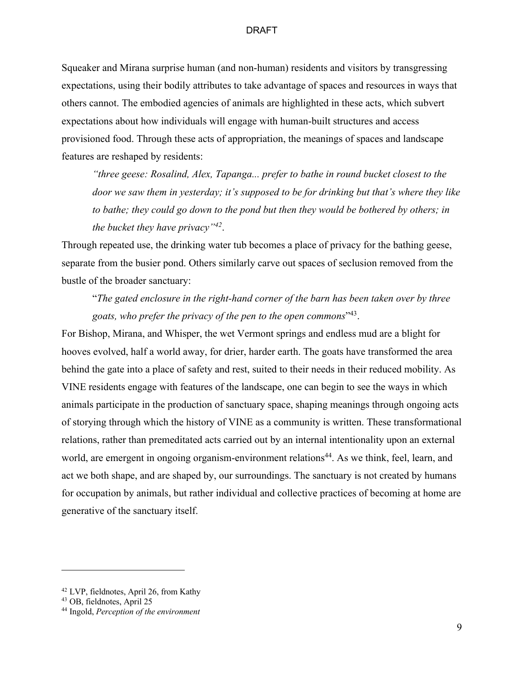Squeaker and Mirana surprise human (and non-human) residents and visitors by transgressing expectations, using their bodily attributes to take advantage of spaces and resources in ways that others cannot. The embodied agencies of animals are highlighted in these acts, which subvert expectations about how individuals will engage with human-built structures and access provisioned food. Through these acts of appropriation, the meanings of spaces and landscape features are reshaped by residents:

*"three geese: Rosalind, Alex, Tapanga... prefer to bathe in round bucket closest to the door we saw them in yesterday; it's supposed to be for drinking but that's where they like to bathe; they could go down to the pond but then they would be bothered by others; in the bucket they have privacy"42*.

Through repeated use, the drinking water tub becomes a place of privacy for the bathing geese, separate from the busier pond. Others similarly carve out spaces of seclusion removed from the bustle of the broader sanctuary:

"*The gated enclosure in the right-hand corner of the barn has been taken over by three goats, who prefer the privacy of the pen to the open commons*"43.

For Bishop, Mirana, and Whisper, the wet Vermont springs and endless mud are a blight for hooves evolved, half a world away, for drier, harder earth. The goats have transformed the area behind the gate into a place of safety and rest, suited to their needs in their reduced mobility. As VINE residents engage with features of the landscape, one can begin to see the ways in which animals participate in the production of sanctuary space, shaping meanings through ongoing acts of storying through which the history of VINE as a community is written. These transformational relations, rather than premeditated acts carried out by an internal intentionality upon an external world, are emergent in ongoing organism-environment relations<sup>44</sup>. As we think, feel, learn, and act we both shape, and are shaped by, our surroundings. The sanctuary is not created by humans for occupation by animals, but rather individual and collective practices of becoming at home are generative of the sanctuary itself.

<sup>42</sup> LVP, fieldnotes, April 26, from Kathy

<sup>43</sup> OB, fieldnotes, April 25

<sup>44</sup> Ingold, *Perception of the environment*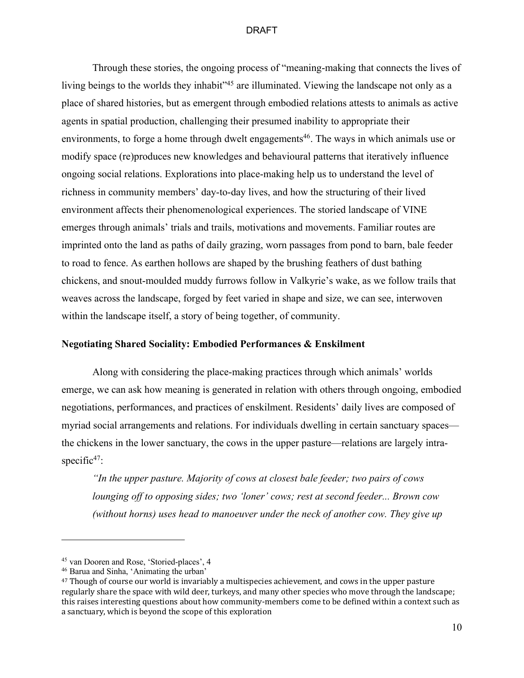Through these stories, the ongoing process of "meaning-making that connects the lives of living beings to the worlds they inhabit"<sup>45</sup> are illuminated. Viewing the landscape not only as a place of shared histories, but as emergent through embodied relations attests to animals as active agents in spatial production, challenging their presumed inability to appropriate their environments, to forge a home through dwelt engagements<sup>46</sup>. The ways in which animals use or modify space (re)produces new knowledges and behavioural patterns that iteratively influence ongoing social relations. Explorations into place-making help us to understand the level of richness in community members' day-to-day lives, and how the structuring of their lived environment affects their phenomenological experiences. The storied landscape of VINE emerges through animals' trials and trails, motivations and movements. Familiar routes are imprinted onto the land as paths of daily grazing, worn passages from pond to barn, bale feeder to road to fence. As earthen hollows are shaped by the brushing feathers of dust bathing chickens, and snout-moulded muddy furrows follow in Valkyrie's wake, as we follow trails that weaves across the landscape, forged by feet varied in shape and size, we can see, interwoven within the landscape itself, a story of being together, of community.

# **Negotiating Shared Sociality: Embodied Performances & Enskilment**

Along with considering the place-making practices through which animals' worlds emerge, we can ask how meaning is generated in relation with others through ongoing, embodied negotiations, performances, and practices of enskilment. Residents' daily lives are composed of myriad social arrangements and relations. For individuals dwelling in certain sanctuary spaces the chickens in the lower sanctuary, the cows in the upper pasture—relations are largely intraspecific $47$ :

*"In the upper pasture. Majority of cows at closest bale feeder; two pairs of cows lounging off to opposing sides; two 'loner' cows; rest at second feeder... Brown cow (without horns) uses head to manoeuver under the neck of another cow. They give up* 

<sup>45</sup> van Dooren and Rose, 'Storied-places', 4

<sup>46</sup> Barua and Sinha, 'Animating the urban'

<sup>&</sup>lt;sup>47</sup> Though of course our world is invariably a multispecies achievement, and cows in the upper pasture regularly share the space with wild deer, turkeys, and many other species who move through the landscape; this raises interesting questions about how community-members come to be defined within a context such as a sanctuary, which is beyond the scope of this exploration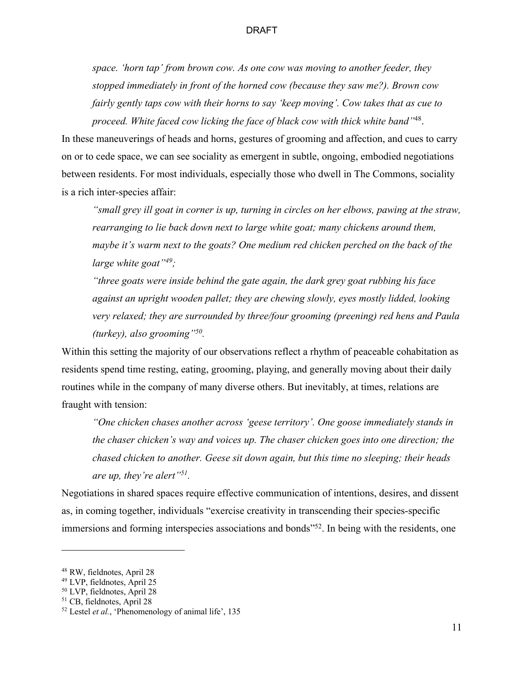*space. 'horn tap' from brown cow. As one cow was moving to another feeder, they stopped immediately in front of the horned cow (because they saw me?). Brown cow fairly gently taps cow with their horns to say 'keep moving'. Cow takes that as cue to proceed. White faced cow licking the face of black cow with thick white band"*48.

In these maneuverings of heads and horns, gestures of grooming and affection, and cues to carry on or to cede space, we can see sociality as emergent in subtle, ongoing, embodied negotiations between residents. For most individuals, especially those who dwell in The Commons, sociality is a rich inter-species affair:

*"small grey ill goat in corner is up, turning in circles on her elbows, pawing at the straw,*  rearranging to lie back down next to large white goat; many chickens around them, *maybe it's warm next to the goats? One medium red chicken perched on the back of the large white goat"49;*

*"three goats were inside behind the gate again, the dark grey goat rubbing his face against an upright wooden pallet; they are chewing slowly, eyes mostly lidded, looking very relaxed; they are surrounded by three/four grooming (preening) red hens and Paula (turkey), also grooming"50.*

Within this setting the majority of our observations reflect a rhythm of peaceable cohabitation as residents spend time resting, eating, grooming, playing, and generally moving about their daily routines while in the company of many diverse others. But inevitably, at times, relations are fraught with tension:

*"One chicken chases another across 'geese territory'. One goose immediately stands in the chaser chicken's way and voices up. The chaser chicken goes into one direction; the chased chicken to another. Geese sit down again, but this time no sleeping; their heads are up, they're alert"51.*

Negotiations in shared spaces require effective communication of intentions, desires, and dissent as, in coming together, individuals "exercise creativity in transcending their species-specific immersions and forming interspecies associations and bonds<sup>352</sup>. In being with the residents, one

<sup>48</sup> RW, fieldnotes, April 28

<sup>49</sup> LVP, fieldnotes, April 25

<sup>50</sup> LVP, fieldnotes, April 28

<sup>51</sup> CB, fieldnotes, April 28

<sup>52</sup> Lestel *et al.*, 'Phenomenology of animal life', 135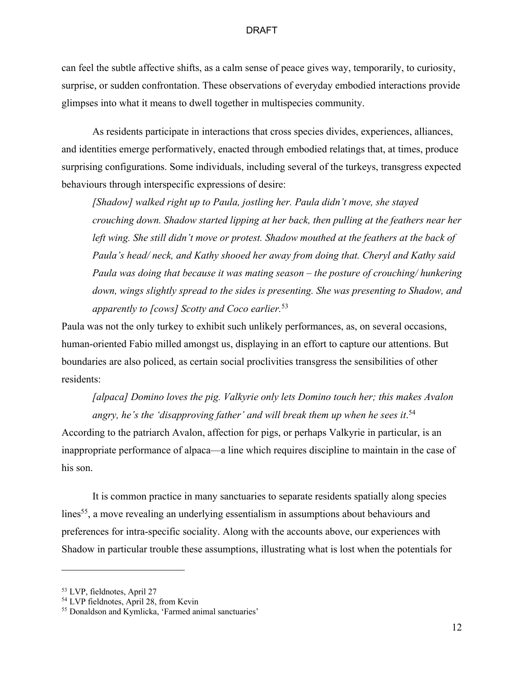can feel the subtle affective shifts, as a calm sense of peace gives way, temporarily, to curiosity, surprise, or sudden confrontation. These observations of everyday embodied interactions provide glimpses into what it means to dwell together in multispecies community.

As residents participate in interactions that cross species divides, experiences, alliances, and identities emerge performatively, enacted through embodied relatings that, at times, produce surprising configurations. Some individuals, including several of the turkeys, transgress expected behaviours through interspecific expressions of desire:

*[Shadow] walked right up to Paula, jostling her. Paula didn't move, she stayed crouching down. Shadow started lipping at her back, then pulling at the feathers near her*  left wing. She still didn't move or protest. Shadow mouthed at the feathers at the back of *Paula's head/ neck, and Kathy shooed her away from doing that. Cheryl and Kathy said Paula was doing that because it was mating season – the posture of crouching/ hunkering down, wings slightly spread to the sides is presenting. She was presenting to Shadow, and apparently to [cows] Scotty and Coco earlier.* 53

Paula was not the only turkey to exhibit such unlikely performances, as, on several occasions, human-oriented Fabio milled amongst us, displaying in an effort to capture our attentions. But boundaries are also policed, as certain social proclivities transgress the sensibilities of other residents:

*[alpaca] Domino loves the pig. Valkyrie only lets Domino touch her; this makes Avalon angry, he's the 'disapproving father' and will break them up when he sees it*. 54

According to the patriarch Avalon, affection for pigs, or perhaps Valkyrie in particular, is an inappropriate performance of alpaca—a line which requires discipline to maintain in the case of his son.

It is common practice in many sanctuaries to separate residents spatially along species lines<sup>55</sup>, a move revealing an underlying essentialism in assumptions about behaviours and preferences for intra-specific sociality. Along with the accounts above, our experiences with Shadow in particular trouble these assumptions, illustrating what is lost when the potentials for

<sup>53</sup> LVP, fieldnotes, April 27

<sup>54</sup> LVP fieldnotes, April 28, from Kevin

<sup>55</sup> Donaldson and Kymlicka, 'Farmed animal sanctuaries'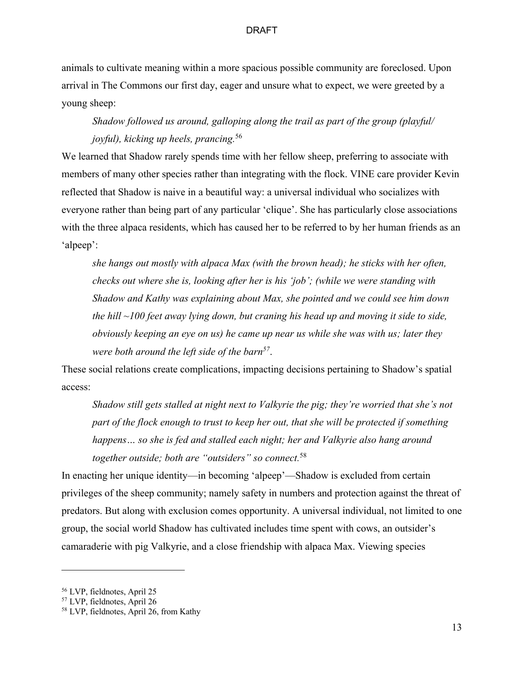animals to cultivate meaning within a more spacious possible community are foreclosed. Upon arrival in The Commons our first day, eager and unsure what to expect, we were greeted by a young sheep:

# *Shadow followed us around, galloping along the trail as part of the group (playful/ joyful), kicking up heels, prancing.* 56

We learned that Shadow rarely spends time with her fellow sheep, preferring to associate with members of many other species rather than integrating with the flock. VINE care provider Kevin reflected that Shadow is naive in a beautiful way: a universal individual who socializes with everyone rather than being part of any particular 'clique'. She has particularly close associations with the three alpaca residents, which has caused her to be referred to by her human friends as an 'alpeep':

*she hangs out mostly with alpaca Max (with the brown head); he sticks with her often, checks out where she is, looking after her is his 'job'; (while we were standing with Shadow and Kathy was explaining about Max, she pointed and we could see him down the hill ~100 feet away lying down, but craning his head up and moving it side to side, obviously keeping an eye on us) he came up near us while she was with us; later they were both around the left side of the barn57*.

These social relations create complications, impacting decisions pertaining to Shadow's spatial access:

*Shadow still gets stalled at night next to Valkyrie the pig; they're worried that she's not part of the flock enough to trust to keep her out, that she will be protected if something happens… so she is fed and stalled each night; her and Valkyrie also hang around together outside; both are "outsiders" so connect.* 58

In enacting her unique identity—in becoming 'alpeep'—Shadow is excluded from certain privileges of the sheep community; namely safety in numbers and protection against the threat of predators. But along with exclusion comes opportunity. A universal individual, not limited to one group, the social world Shadow has cultivated includes time spent with cows, an outsider's camaraderie with pig Valkyrie, and a close friendship with alpaca Max. Viewing species

<sup>56</sup> LVP, fieldnotes, April 25

<sup>57</sup> LVP, fieldnotes, April 26

<sup>58</sup> LVP, fieldnotes, April 26, from Kathy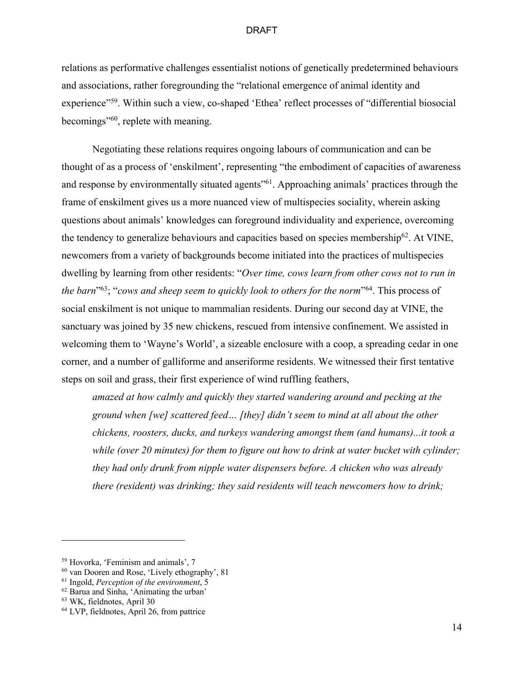relations as performative challenges essentialist notions of genetically predetermined behaviours and associations, rather foregrounding the "relational emergence of animal identity and experience"<sup>59</sup>. Within such a view, co-shaped 'Ethea' reflect processes of "differential biosocial becomings"60, replete with meaning.

Negotiating these relations requires ongoing labours of communication and can be thought of as a process of 'enskilment', representing "the embodiment of capacities of awareness and response by environmentally situated agents<sup>"61</sup>. Approaching animals' practices through the frame of enskilment gives us a more nuanced view of multispecies sociality, wherein asking questions about animals' knowledges can foreground individuality and experience, overcoming the tendency to generalize behaviours and capacities based on species membership<sup>62</sup>. At VINE, newcomers from a variety of backgrounds become initiated into the practices of multispecies dwelling by learning from other residents: "*Over time, cows learn from other cows not to run in the barn*"63; "*cows and sheep seem to quickly look to others for the norm*"64. This process of social enskilment is not unique to mammalian residents. During our second day at VINE, the sanctuary was joined by 35 new chickens, rescued from intensive confinement. We assisted in welcoming them to 'Wayne's World', a sizeable enclosure with a coop, a spreading cedar in one corner, and a number of galliforme and anseriforme residents. We witnessed their first tentative steps on soil and grass, their first experience of wind ruffling feathers,

*amazed at how calmly and quickly they started wandering around and pecking at the ground when [we] scattered feed… [they] didn't seem to mind at all about the other chickens, roosters, ducks, and turkeys wandering amongst them (and humans)...it took a while (over 20 minutes) for them to figure out how to drink at water bucket with cylinder; they had only drunk from nipple water dispensers before. A chicken who was already there (resident) was drinking; they said residents will teach newcomers how to drink;* 

<sup>59</sup> Hovorka, 'Feminism and animals', 7

<sup>60</sup> van Dooren and Rose, 'Lively ethography', 81

<sup>61</sup> Ingold, *Perception of the environment*, 5

 $62$  Barua and Sinha, 'Animating the urban'

<sup>63</sup> WK, fieldnotes, April 30

<sup>&</sup>lt;sup>64</sup> LVP, fieldnotes, April 26, from pattrice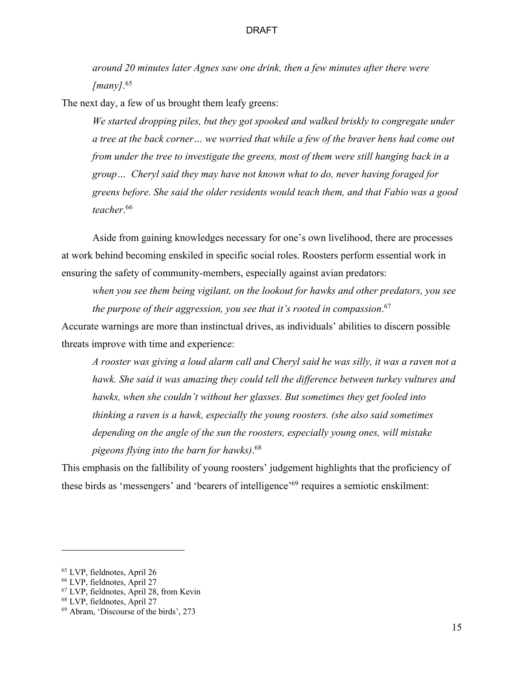*around 20 minutes later Agnes saw one drink, then a few minutes after there were [many]*. 65

The next day, a few of us brought them leafy greens:

*We started dropping piles, but they got spooked and walked briskly to congregate under a tree at the back corner… we worried that while a few of the braver hens had come out from under the tree to investigate the greens, most of them were still hanging back in a group… Cheryl said they may have not known what to do, never having foraged for greens before. She said the older residents would teach them, and that Fabio was a good teacher*. 66

Aside from gaining knowledges necessary for one's own livelihood, there are processes at work behind becoming enskiled in specific social roles. Roosters perform essential work in ensuring the safety of community-members, especially against avian predators:

*when you see them being vigilant, on the lookout for hawks and other predators, you see the purpose of their aggression, you see that it's rooted in compassion*. 67

Accurate warnings are more than instinctual drives, as individuals' abilities to discern possible threats improve with time and experience:

*A rooster was giving a loud alarm call and Cheryl said he was silly, it was a raven not a hawk. She said it was amazing they could tell the difference between turkey vultures and hawks, when she couldn't without her glasses. But sometimes they get fooled into thinking a raven is a hawk, especially the young roosters. (she also said sometimes depending on the angle of the sun the roosters, especially young ones, will mistake pigeons flying into the barn for hawks)*. 68

This emphasis on the fallibility of young roosters' judgement highlights that the proficiency of these birds as 'messengers' and 'bearers of intelligence'69 requires a semiotic enskilment:

<sup>65</sup> LVP, fieldnotes, April 26

<sup>66</sup> LVP, fieldnotes, April 27

<sup>67</sup> LVP, fieldnotes, April 28, from Kevin

<sup>68</sup> LVP, fieldnotes, April 27

<sup>69</sup> Abram, 'Discourse of the birds', 273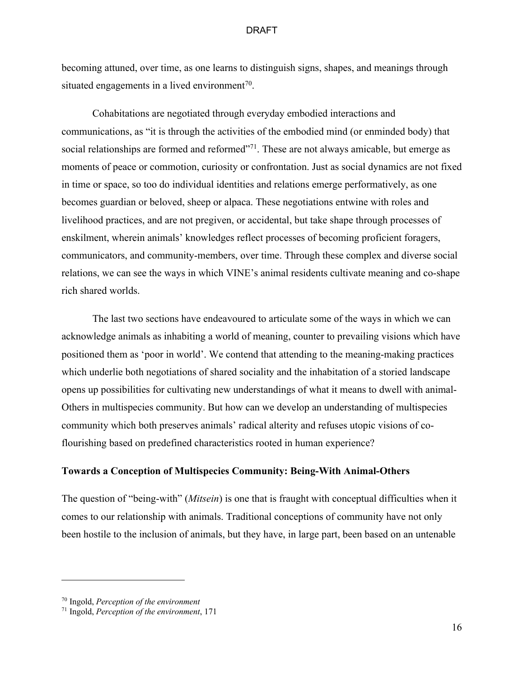becoming attuned, over time, as one learns to distinguish signs, shapes, and meanings through situated engagements in a lived environment<sup>70</sup>.

Cohabitations are negotiated through everyday embodied interactions and communications, as "it is through the activities of the embodied mind (or enminded body) that social relationships are formed and reformed"<sup>71</sup>. These are not always amicable, but emerge as moments of peace or commotion, curiosity or confrontation. Just as social dynamics are not fixed in time or space, so too do individual identities and relations emerge performatively, as one becomes guardian or beloved, sheep or alpaca. These negotiations entwine with roles and livelihood practices, and are not pregiven, or accidental, but take shape through processes of enskilment, wherein animals' knowledges reflect processes of becoming proficient foragers, communicators, and community-members, over time. Through these complex and diverse social relations, we can see the ways in which VINE's animal residents cultivate meaning and co-shape rich shared worlds.

The last two sections have endeavoured to articulate some of the ways in which we can acknowledge animals as inhabiting a world of meaning, counter to prevailing visions which have positioned them as 'poor in world'. We contend that attending to the meaning-making practices which underlie both negotiations of shared sociality and the inhabitation of a storied landscape opens up possibilities for cultivating new understandings of what it means to dwell with animal-Others in multispecies community. But how can we develop an understanding of multispecies community which both preserves animals' radical alterity and refuses utopic visions of coflourishing based on predefined characteristics rooted in human experience?

# **Towards a Conception of Multispecies Community: Being-With Animal-Others**

The question of "being-with" (*Mitsein*) is one that is fraught with conceptual difficulties when it comes to our relationship with animals. Traditional conceptions of community have not only been hostile to the inclusion of animals, but they have, in large part, been based on an untenable

<sup>70</sup> Ingold, *Perception of the environment*

<sup>71</sup> Ingold, *Perception of the environment*, 171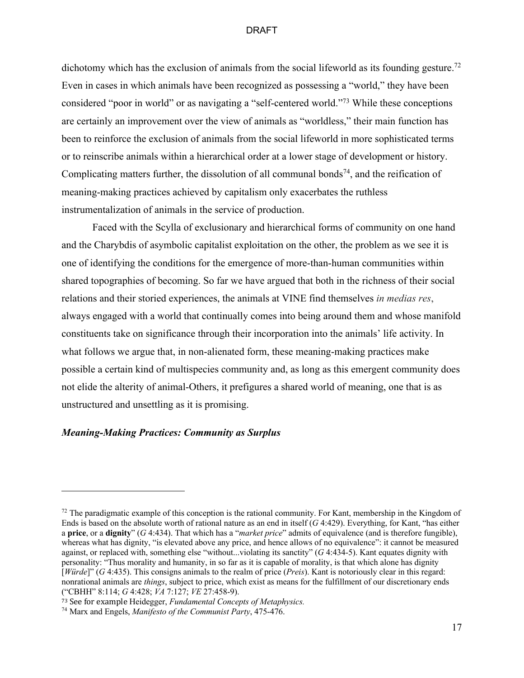dichotomy which has the exclusion of animals from the social lifeworld as its founding gesture.<sup>72</sup> Even in cases in which animals have been recognized as possessing a "world," they have been considered "poor in world" or as navigating a "self-centered world."73 While these conceptions are certainly an improvement over the view of animals as "worldless," their main function has been to reinforce the exclusion of animals from the social lifeworld in more sophisticated terms or to reinscribe animals within a hierarchical order at a lower stage of development or history. Complicating matters further, the dissolution of all communal bonds<sup>74</sup>, and the reification of meaning-making practices achieved by capitalism only exacerbates the ruthless instrumentalization of animals in the service of production.

Faced with the Scylla of exclusionary and hierarchical forms of community on one hand and the Charybdis of asymbolic capitalist exploitation on the other, the problem as we see it is one of identifying the conditions for the emergence of more-than-human communities within shared topographies of becoming. So far we have argued that both in the richness of their social relations and their storied experiences, the animals at VINE find themselves *in medias res*, always engaged with a world that continually comes into being around them and whose manifold constituents take on significance through their incorporation into the animals' life activity. In what follows we argue that, in non-alienated form, these meaning-making practices make possible a certain kind of multispecies community and, as long as this emergent community does not elide the alterity of animal-Others, it prefigures a shared world of meaning, one that is as unstructured and unsettling as it is promising.

# *Meaning-Making Practices: Community as Surplus*

 $72$  The paradigmatic example of this conception is the rational community. For Kant, membership in the Kingdom of Ends is based on the absolute worth of rational nature as an end in itself (*G* 4:429). Everything, for Kant, "has either a **price**, or a **dignity**" (*G* 4:434). That which has a "*market price*" admits of equivalence (and is therefore fungible), whereas what has dignity, "is elevated above any price, and hence allows of no equivalence": it cannot be measured against, or replaced with, something else "without...violating its sanctity" (*G* 4:434-5). Kant equates dignity with personality: "Thus morality and humanity, in so far as it is capable of morality, is that which alone has dignity [*Würde*]" (*G* 4:435). This consigns animals to the realm of price (*Preis*). Kant is notoriously clear in this regard: nonrational animals are *things*, subject to price, which exist as means for the fulfillment of our discretionary ends ("CBHH" 8:114; *G* 4:428; *VA* 7:127; *VE* 27:458-9).

<sup>&</sup>lt;sup>73</sup> See for example Heidegger, *Fundamental Concepts of Metaphysics*.

<sup>74</sup> Marx and Engels, *Manifesto of the Communist Party*, 475-476.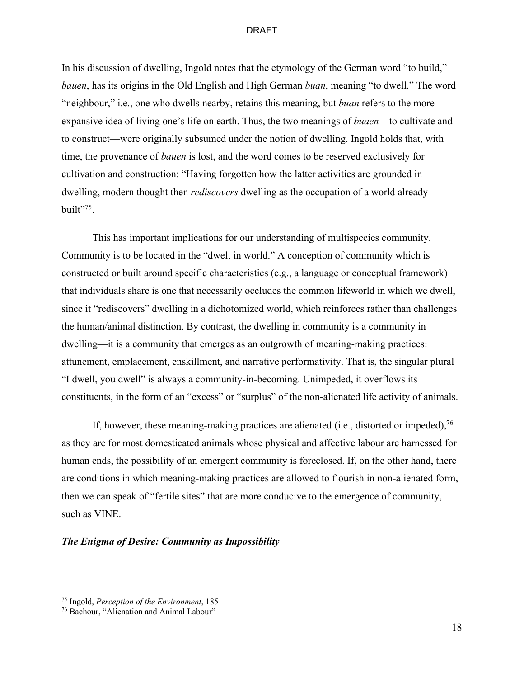In his discussion of dwelling, Ingold notes that the etymology of the German word "to build," *bauen*, has its origins in the Old English and High German *buan*, meaning "to dwell." The word "neighbour," i.e., one who dwells nearby, retains this meaning, but *buan* refers to the more expansive idea of living one's life on earth. Thus, the two meanings of *buaen*—to cultivate and to construct—were originally subsumed under the notion of dwelling. Ingold holds that, with time, the provenance of *bauen* is lost, and the word comes to be reserved exclusively for cultivation and construction: "Having forgotten how the latter activities are grounded in dwelling, modern thought then *rediscovers* dwelling as the occupation of a world already built"<sup>75</sup>.

This has important implications for our understanding of multispecies community. Community is to be located in the "dwelt in world." A conception of community which is constructed or built around specific characteristics (e.g., a language or conceptual framework) that individuals share is one that necessarily occludes the common lifeworld in which we dwell, since it "rediscovers" dwelling in a dichotomized world, which reinforces rather than challenges the human/animal distinction. By contrast, the dwelling in community is a community in dwelling—it is a community that emerges as an outgrowth of meaning-making practices: attunement, emplacement, enskillment, and narrative performativity. That is, the singular plural "I dwell, you dwell" is always a community-in-becoming. Unimpeded, it overflows its constituents, in the form of an "excess" or "surplus" of the non-alienated life activity of animals.

If, however, these meaning-making practices are alienated (i.e., distorted or impeded),  $76$ as they are for most domesticated animals whose physical and affective labour are harnessed for human ends, the possibility of an emergent community is foreclosed. If, on the other hand, there are conditions in which meaning-making practices are allowed to flourish in non-alienated form, then we can speak of "fertile sites" that are more conducive to the emergence of community, such as VINE.

# *The Enigma of Desire: Community as Impossibility*

<sup>75</sup> Ingold, *Perception of the Environment*, 185

<sup>76</sup> Bachour, "Alienation and Animal Labour"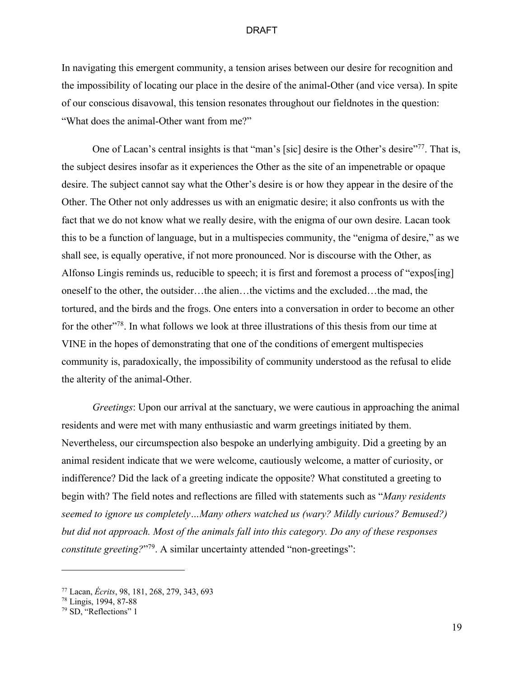In navigating this emergent community, a tension arises between our desire for recognition and the impossibility of locating our place in the desire of the animal-Other (and vice versa). In spite of our conscious disavowal, this tension resonates throughout our fieldnotes in the question: "What does the animal-Other want from me?"

One of Lacan's central insights is that "man's [sic] desire is the Other's desire"<sup>77</sup>. That is, the subject desires insofar as it experiences the Other as the site of an impenetrable or opaque desire. The subject cannot say what the Other's desire is or how they appear in the desire of the Other. The Other not only addresses us with an enigmatic desire; it also confronts us with the fact that we do not know what we really desire, with the enigma of our own desire. Lacan took this to be a function of language, but in a multispecies community, the "enigma of desire," as we shall see, is equally operative, if not more pronounced. Nor is discourse with the Other, as Alfonso Lingis reminds us, reducible to speech; it is first and foremost a process of "expos[ing] oneself to the other, the outsider…the alien…the victims and the excluded…the mad, the tortured, and the birds and the frogs. One enters into a conversation in order to become an other for the other"<sup>78</sup>. In what follows we look at three illustrations of this thesis from our time at VINE in the hopes of demonstrating that one of the conditions of emergent multispecies community is, paradoxically, the impossibility of community understood as the refusal to elide the alterity of the animal-Other.

*Greetings*: Upon our arrival at the sanctuary, we were cautious in approaching the animal residents and were met with many enthusiastic and warm greetings initiated by them. Nevertheless, our circumspection also bespoke an underlying ambiguity. Did a greeting by an animal resident indicate that we were welcome, cautiously welcome, a matter of curiosity, or indifference? Did the lack of a greeting indicate the opposite? What constituted a greeting to begin with? The field notes and reflections are filled with statements such as "*Many residents seemed to ignore us completely…Many others watched us (wary? Mildly curious? Bemused?) but did not approach. Most of the animals fall into this category. Do any of these responses constitute greeting?*"<sup>79</sup>. A similar uncertainty attended "non-greetings":

<sup>77</sup> Lacan, *Écrits*, 98, 181, 268, 279, 343, 693

<sup>78</sup> Lingis, 1994, 87-88

<sup>79</sup> SD, "Reflections" 1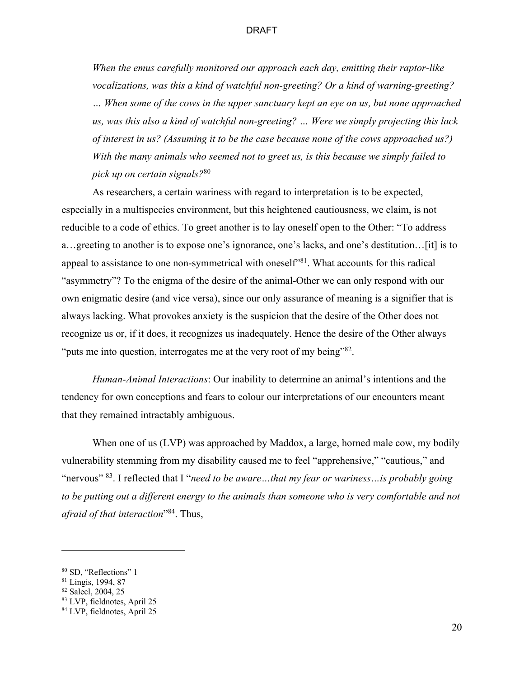*When the emus carefully monitored our approach each day, emitting their raptor-like vocalizations, was this a kind of watchful non-greeting? Or a kind of warning-greeting? … When some of the cows in the upper sanctuary kept an eye on us, but none approached us, was this also a kind of watchful non-greeting? … Were we simply projecting this lack of interest in us? (Assuming it to be the case because none of the cows approached us?) With the many animals who seemed not to greet us, is this because we simply failed to pick up on certain signals?*<sup>80</sup>

As researchers, a certain wariness with regard to interpretation is to be expected, especially in a multispecies environment, but this heightened cautiousness, we claim, is not reducible to a code of ethics. To greet another is to lay oneself open to the Other: "To address a…greeting to another is to expose one's ignorance, one's lacks, and one's destitution…[it] is to appeal to assistance to one non-symmetrical with oneself<sup>381</sup>. What accounts for this radical "asymmetry"? To the enigma of the desire of the animal-Other we can only respond with our own enigmatic desire (and vice versa), since our only assurance of meaning is a signifier that is always lacking. What provokes anxiety is the suspicion that the desire of the Other does not recognize us or, if it does, it recognizes us inadequately. Hence the desire of the Other always "puts me into question, interrogates me at the very root of my being"<sup>82</sup>.

*Human-Animal Interactions*: Our inability to determine an animal's intentions and the tendency for own conceptions and fears to colour our interpretations of our encounters meant that they remained intractably ambiguous.

When one of us (LVP) was approached by Maddox, a large, horned male cow, my bodily vulnerability stemming from my disability caused me to feel "apprehensive," "cautious," and "nervous" 83. I reflected that I "*need to be aware…that my fear or wariness…is probably going to be putting out a different energy to the animals than someone who is very comfortable and not afraid of that interaction*"84. Thus,

<sup>80</sup> SD, "Reflections" 1

<sup>81</sup> Lingis, 1994, 87

<sup>82</sup> Salecl, 2004, 25

<sup>83</sup> LVP, fieldnotes, April 25

<sup>84</sup> LVP, fieldnotes, April 25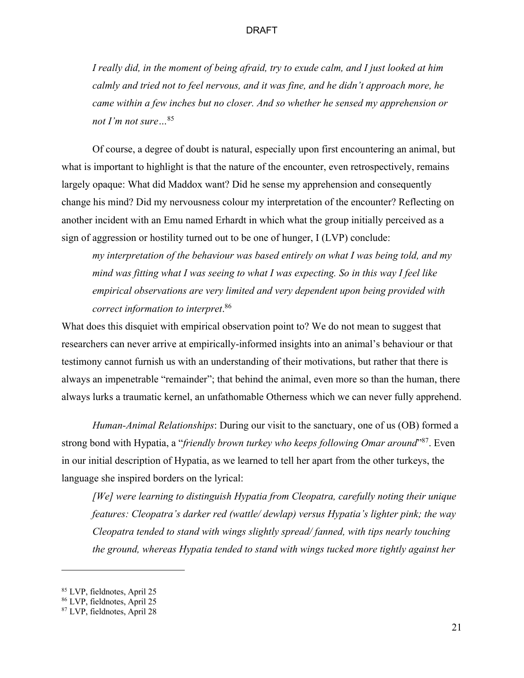*I really did, in the moment of being afraid, try to exude calm, and I just looked at him calmly and tried not to feel nervous, and it was fine, and he didn't approach more, he came within a few inches but no closer. And so whether he sensed my apprehension or not I'm not sure…*<sup>85</sup>

Of course, a degree of doubt is natural, especially upon first encountering an animal, but what is important to highlight is that the nature of the encounter, even retrospectively, remains largely opaque: What did Maddox want? Did he sense my apprehension and consequently change his mind? Did my nervousness colour my interpretation of the encounter? Reflecting on another incident with an Emu named Erhardt in which what the group initially perceived as a sign of aggression or hostility turned out to be one of hunger, I (LVP) conclude:

*my interpretation of the behaviour was based entirely on what I was being told, and my mind was fitting what I was seeing to what I was expecting. So in this way I feel like empirical observations are very limited and very dependent upon being provided with correct information to interpret*. 86

What does this disquiet with empirical observation point to? We do not mean to suggest that researchers can never arrive at empirically-informed insights into an animal's behaviour or that testimony cannot furnish us with an understanding of their motivations, but rather that there is always an impenetrable "remainder"; that behind the animal, even more so than the human, there always lurks a traumatic kernel, an unfathomable Otherness which we can never fully apprehend.

*Human-Animal Relationships*: During our visit to the sanctuary, one of us (OB) formed a strong bond with Hypatia, a "*friendly brown turkey who keeps following Omar around*"87. Even in our initial description of Hypatia, as we learned to tell her apart from the other turkeys, the language she inspired borders on the lyrical:

*[We] were learning to distinguish Hypatia from Cleopatra, carefully noting their unique features: Cleopatra's darker red (wattle/ dewlap) versus Hypatia's lighter pink; the way Cleopatra tended to stand with wings slightly spread/ fanned, with tips nearly touching the ground, whereas Hypatia tended to stand with wings tucked more tightly against her* 

<sup>85</sup> LVP, fieldnotes, April 25

<sup>86</sup> LVP, fieldnotes, April 25

<sup>87</sup> LVP, fieldnotes, April 28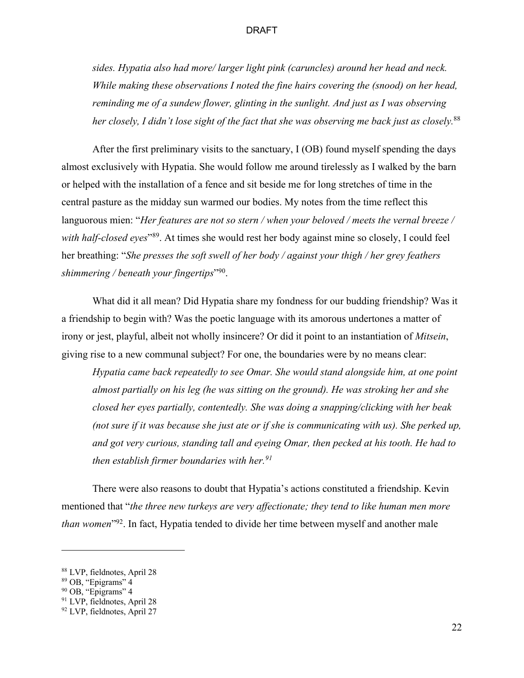*sides. Hypatia also had more/ larger light pink (caruncles) around her head and neck. While making these observations I noted the fine hairs covering the (snood) on her head, reminding me of a sundew flower, glinting in the sunlight. And just as I was observing her closely, I didn't lose sight of the fact that she was observing me back just as closely.*<sup>88</sup>

After the first preliminary visits to the sanctuary, I (OB) found myself spending the days almost exclusively with Hypatia. She would follow me around tirelessly as I walked by the barn or helped with the installation of a fence and sit beside me for long stretches of time in the central pasture as the midday sun warmed our bodies. My notes from the time reflect this languorous mien: "*Her features are not so stern / when your beloved / meets the vernal breeze /*  with half-closed eyes<sup>"89</sup>. At times she would rest her body against mine so closely, I could feel her breathing: "*She presses the soft swell of her body / against your thigh / her grey feathers shimmering / beneath your fingertips*"90.

What did it all mean? Did Hypatia share my fondness for our budding friendship? Was it a friendship to begin with? Was the poetic language with its amorous undertones a matter of irony or jest, playful, albeit not wholly insincere? Or did it point to an instantiation of *Mitsein*, giving rise to a new communal subject? For one, the boundaries were by no means clear:

*Hypatia came back repeatedly to see Omar. She would stand alongside him, at one point almost partially on his leg (he was sitting on the ground). He was stroking her and she closed her eyes partially, contentedly. She was doing a snapping/clicking with her beak (not sure if it was because she just ate or if she is communicating with us). She perked up, and got very curious, standing tall and eyeing Omar, then pecked at his tooth. He had to then establish firmer boundaries with her.91*

There were also reasons to doubt that Hypatia's actions constituted a friendship. Kevin mentioned that "*the three new turkeys are very affectionate; they tend to like human men more than women*<sup>"92</sup>. In fact, Hypatia tended to divide her time between myself and another male

<sup>88</sup> LVP, fieldnotes, April 28

<sup>89</sup> OB, "Epigrams" 4

<sup>90</sup> OB, "Epigrams" 4

<sup>91</sup> LVP, fieldnotes, April 28

<sup>92</sup> LVP, fieldnotes, April 27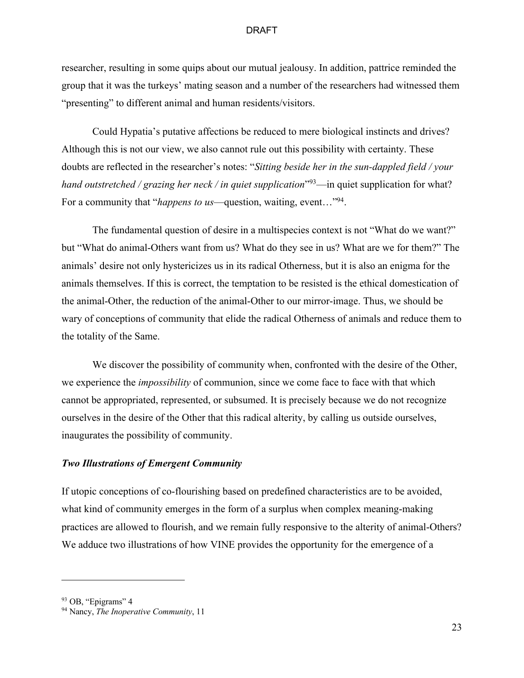researcher, resulting in some quips about our mutual jealousy. In addition, pattrice reminded the group that it was the turkeys' mating season and a number of the researchers had witnessed them "presenting" to different animal and human residents/visitors.

Could Hypatia's putative affections be reduced to mere biological instincts and drives? Although this is not our view, we also cannot rule out this possibility with certainty. These doubts are reflected in the researcher's notes: "*Sitting beside her in the sun-dappled field / your hand outstretched / grazing her neck / in quiet supplication*<sup>"93</sup>—in quiet supplication for what? For a community that "*happens to us*—question, waiting, event..."<sup>94</sup>.

The fundamental question of desire in a multispecies context is not "What do we want?" but "What do animal-Others want from us? What do they see in us? What are we for them?" The animals' desire not only hystericizes us in its radical Otherness, but it is also an enigma for the animals themselves. If this is correct, the temptation to be resisted is the ethical domestication of the animal-Other, the reduction of the animal-Other to our mirror-image. Thus, we should be wary of conceptions of community that elide the radical Otherness of animals and reduce them to the totality of the Same.

We discover the possibility of community when, confronted with the desire of the Other, we experience the *impossibility* of communion, since we come face to face with that which cannot be appropriated, represented, or subsumed. It is precisely because we do not recognize ourselves in the desire of the Other that this radical alterity, by calling us outside ourselves, inaugurates the possibility of community.

# *Two Illustrations of Emergent Community*

If utopic conceptions of co-flourishing based on predefined characteristics are to be avoided, what kind of community emerges in the form of a surplus when complex meaning-making practices are allowed to flourish, and we remain fully responsive to the alterity of animal-Others? We adduce two illustrations of how VINE provides the opportunity for the emergence of a

<sup>93</sup> OB, "Epigrams" 4

<sup>94</sup> Nancy, *The Inoperative Community*, 11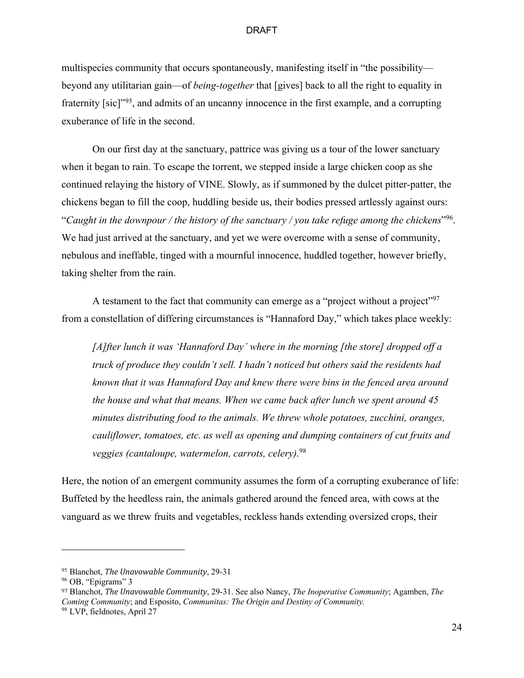multispecies community that occurs spontaneously, manifesting itself in "the possibility beyond any utilitarian gain—of *being-together* that [gives] back to all the right to equality in fraternity [sic]<sup>"95</sup>, and admits of an uncanny innocence in the first example, and a corrupting exuberance of life in the second.

On our first day at the sanctuary, pattrice was giving us a tour of the lower sanctuary when it began to rain. To escape the torrent, we stepped inside a large chicken coop as she continued relaying the history of VINE. Slowly, as if summoned by the dulcet pitter-patter, the chickens began to fill the coop, huddling beside us, their bodies pressed artlessly against ours: "*Caught in the downpour / the history of the sanctuary / you take refuge among the chickens*"96. We had just arrived at the sanctuary, and yet we were overcome with a sense of community, nebulous and ineffable, tinged with a mournful innocence, huddled together, however briefly, taking shelter from the rain.

A testament to the fact that community can emerge as a "project without a project"<sup>97</sup> from a constellation of differing circumstances is "Hannaford Day," which takes place weekly:

*[A]fter lunch it was 'Hannaford Day' where in the morning [the store] dropped off a truck of produce they couldn't sell. I hadn't noticed but others said the residents had known that it was Hannaford Day and knew there were bins in the fenced area around the house and what that means. When we came back after lunch we spent around 45 minutes distributing food to the animals. We threw whole potatoes, zucchini, oranges, cauliflower, tomatoes, etc. as well as opening and dumping containers of cut fruits and veggies (cantaloupe, watermelon, carrots, celery).*<sup>98</sup>

Here, the notion of an emergent community assumes the form of a corrupting exuberance of life: Buffeted by the heedless rain, the animals gathered around the fenced area, with cows at the vanguard as we threw fruits and vegetables, reckless hands extending oversized crops, their

<sup>&</sup>lt;sup>95</sup> Blanchot, *The Unavowable Community*, 29-31

<sup>96</sup> OB, "Epigrams" 3

<sup>97</sup> Blanchot, *The Unavowable Community*, 29-31. See also Nancy, *The Inoperative Community*; Agamben, *The Coming Community*; and Esposito, *Communitas: The Origin and Destiny of Community.*

<sup>98</sup> LVP, fieldnotes, April 27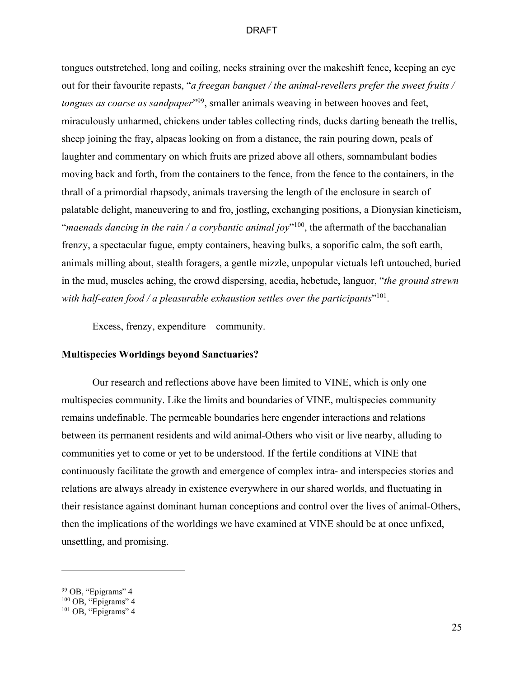tongues outstretched, long and coiling, necks straining over the makeshift fence, keeping an eye out for their favourite repasts, "*a freegan banquet / the animal-revellers prefer the sweet fruits / tongues as coarse as sandpaper*<sup>"99</sup>, smaller animals weaving in between hooves and feet, miraculously unharmed, chickens under tables collecting rinds, ducks darting beneath the trellis, sheep joining the fray, alpacas looking on from a distance, the rain pouring down, peals of laughter and commentary on which fruits are prized above all others, somnambulant bodies moving back and forth, from the containers to the fence, from the fence to the containers, in the thrall of a primordial rhapsody, animals traversing the length of the enclosure in search of palatable delight, maneuvering to and fro, jostling, exchanging positions, a Dionysian kineticism, "*maenads dancing in the rain / a corybantic animal joy*"100, the aftermath of the bacchanalian frenzy, a spectacular fugue, empty containers, heaving bulks, a soporific calm, the soft earth, animals milling about, stealth foragers, a gentle mizzle, unpopular victuals left untouched, buried in the mud, muscles aching, the crowd dispersing, acedia, hebetude, languor, "*the ground strewn with half-eaten food / a pleasurable exhaustion settles over the participants*"101.

Excess, frenzy, expenditure—community.

# **Multispecies Worldings beyond Sanctuaries?**

Our research and reflections above have been limited to VINE, which is only one multispecies community. Like the limits and boundaries of VINE, multispecies community remains undefinable. The permeable boundaries here engender interactions and relations between its permanent residents and wild animal-Others who visit or live nearby, alluding to communities yet to come or yet to be understood. If the fertile conditions at VINE that continuously facilitate the growth and emergence of complex intra- and interspecies stories and relations are always already in existence everywhere in our shared worlds, and fluctuating in their resistance against dominant human conceptions and control over the lives of animal-Others, then the implications of the worldings we have examined at VINE should be at once unfixed, unsettling, and promising.

<sup>&</sup>lt;sup>99</sup> OB, "Epigrams" 4

 $100$  OB, "Epigrams" 4

<sup>&</sup>lt;sup>101</sup> OB, "Epigrams" 4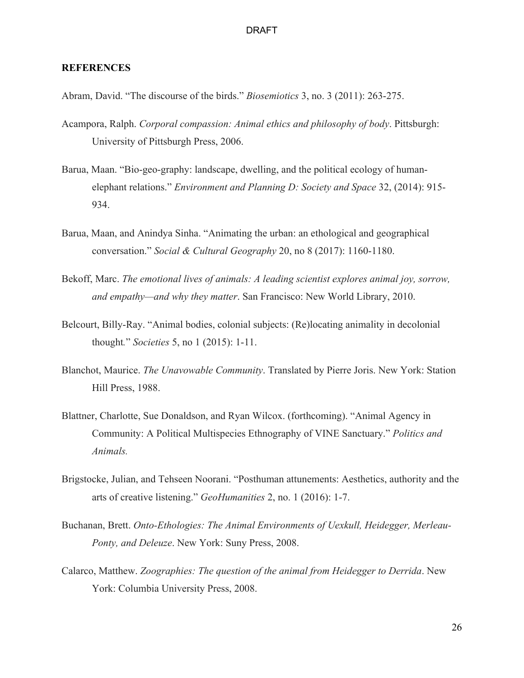# **REFERENCES**

Abram, David. "The discourse of the birds." *Biosemiotics* 3, no. 3 (2011): 263-275.

- Acampora, Ralph. *Corporal compassion: Animal ethics and philosophy of body*. Pittsburgh: University of Pittsburgh Press, 2006.
- Barua, Maan. "Bio-geo-graphy: landscape, dwelling, and the political ecology of humanelephant relations." *Environment and Planning D: Society and Space* 32, (2014): 915- 934.
- Barua, Maan, and Anindya Sinha. "Animating the urban: an ethological and geographical conversation." *Social & Cultural Geography* 20, no 8 (2017): 1160-1180.
- Bekoff, Marc. *The emotional lives of animals: A leading scientist explores animal joy, sorrow, and empathy—and why they matter*. San Francisco: New World Library, 2010.
- Belcourt, Billy-Ray. "Animal bodies, colonial subjects: (Re)locating animality in decolonial thought*.*" *Societies* 5, no 1 (2015): 1-11.
- Blanchot, Maurice. *The Unavowable Community*. Translated by Pierre Joris. New York: Station Hill Press, 1988.
- Blattner, Charlotte, Sue Donaldson, and Ryan Wilcox. (forthcoming). "Animal Agency in Community: A Political Multispecies Ethnography of VINE Sanctuary." *Politics and Animals.*
- Brigstocke, Julian, and Tehseen Noorani. "Posthuman attunements: Aesthetics, authority and the arts of creative listening." *GeoHumanities* 2, no. 1 (2016): 1-7.
- Buchanan, Brett. *Onto-Ethologies: The Animal Environments of Uexkull, Heidegger, Merleau-Ponty, and Deleuze*. New York: Suny Press, 2008.
- Calarco, Matthew. *Zoographies: The question of the animal from Heidegger to Derrida*. New York: Columbia University Press, 2008.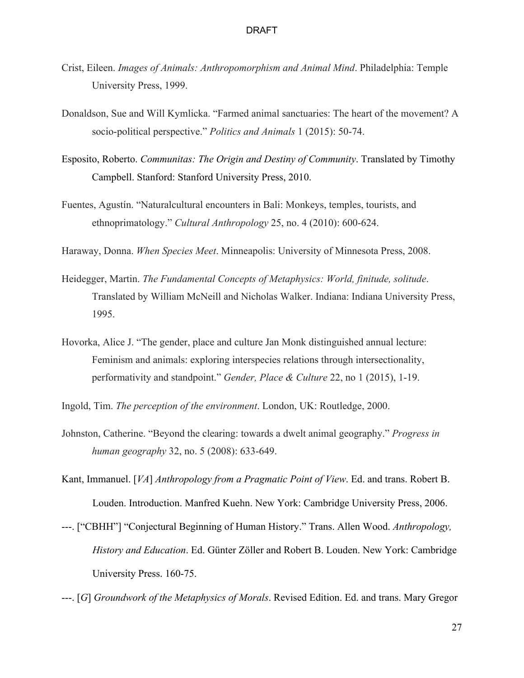- Crist, Eileen. *Images of Animals: Anthropomorphism and Animal Mind*. Philadelphia: Temple University Press, 1999.
- Donaldson, Sue and Will Kymlicka. "Farmed animal sanctuaries: The heart of the movement? A socio-political perspective." *Politics and Animals* 1 (2015): 50-74.
- Esposito, Roberto. *Communitas: The Origin and Destiny of Community*. Translated by Timothy Campbell. Stanford: Stanford University Press, 2010.
- Fuentes, Agustín. "Naturalcultural encounters in Bali: Monkeys, temples, tourists, and ethnoprimatology." *Cultural Anthropology* 25, no. 4 (2010): 600-624.

Haraway, Donna. *When Species Meet*. Minneapolis: University of Minnesota Press, 2008.

- Heidegger, Martin. *The Fundamental Concepts of Metaphysics: World, finitude, solitude*. Translated by William McNeill and Nicholas Walker. Indiana: Indiana University Press, 1995.
- Hovorka, Alice J. "The gender, place and culture Jan Monk distinguished annual lecture: Feminism and animals: exploring interspecies relations through intersectionality, performativity and standpoint." *Gender, Place & Culture* 22, no 1 (2015), 1-19.
- Ingold, Tim. *The perception of the environment*. London, UK: Routledge, 2000.
- Johnston, Catherine. "Beyond the clearing: towards a dwelt animal geography." *Progress in human geography* 32, no. 5 (2008): 633-649.
- Kant, Immanuel. [*VA*] *Anthropology from a Pragmatic Point of View*. Ed. and trans. Robert B. Louden. Introduction. Manfred Kuehn. New York: Cambridge University Press, 2006.
- ---. ["CBHH"] "Conjectural Beginning of Human History." Trans. Allen Wood. *Anthropology, History and Education*. Ed. Günter Zöller and Robert B. Louden. New York: Cambridge University Press. 160-75.

---. [*G*] *Groundwork of the Metaphysics of Morals*. Revised Edition. Ed. and trans. Mary Gregor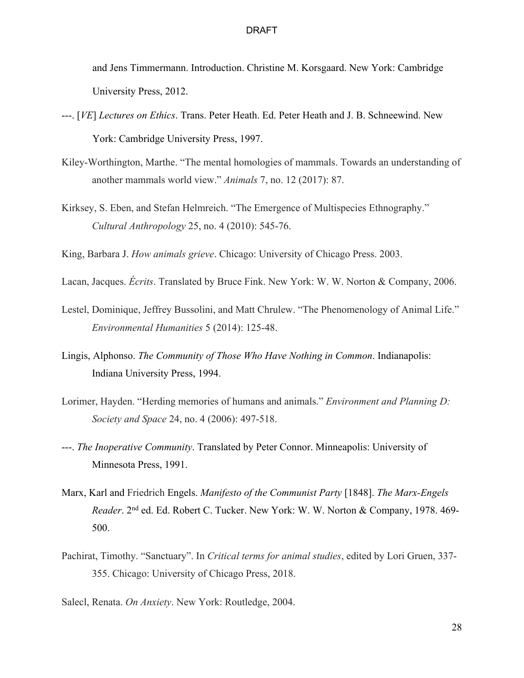and Jens Timmermann. Introduction. Christine M. Korsgaard. New York: Cambridge University Press, 2012.

- ---. [*VE*] *Lectures on Ethics*. Trans. Peter Heath. Ed. Peter Heath and J. B. Schneewind. New York: Cambridge University Press, 1997.
- Kiley-Worthington, Marthe. "The mental homologies of mammals. Towards an understanding of another mammals world view." *Animals* 7, no. 12 (2017): 87.
- Kirksey, S. Eben, and Stefan Helmreich. "The Emergence of Multispecies Ethnography." *Cultural Anthropology* 25, no. 4 (2010): 545-76.
- King, Barbara J. *How animals grieve*. Chicago: University of Chicago Press. 2003.
- Lacan, Jacques. *Écrits*. Translated by Bruce Fink. New York: W. W. Norton & Company, 2006.
- Lestel, Dominique, Jeffrey Bussolini, and Matt Chrulew. "The Phenomenology of Animal Life." *Environmental Humanities* 5 (2014): 125-48.
- Lingis, Alphonso. *The Community of Those Who Have Nothing in Common*. Indianapolis: Indiana University Press, 1994.
- Lorimer, Hayden. "Herding memories of humans and animals." *Environment and Planning D: Society and Space* 24, no. 4 (2006): 497-518.
- ---. *The Inoperative Community*. Translated by Peter Connor. Minneapolis: University of Minnesota Press, 1991.
- Marx, Karl and Friedrich Engels. *Manifesto of the Communist Party* [1848]. *The Marx-Engels Reader*. 2nd ed. Ed. Robert C. Tucker. New York: W. W. Norton & Company, 1978. 469- 500.
- Pachirat, Timothy. "Sanctuary". In *Critical terms for animal studies*, edited by Lori Gruen, 337- 355. Chicago: University of Chicago Press, 2018.

Salecl, Renata. *On Anxiety*. New York: Routledge, 2004.